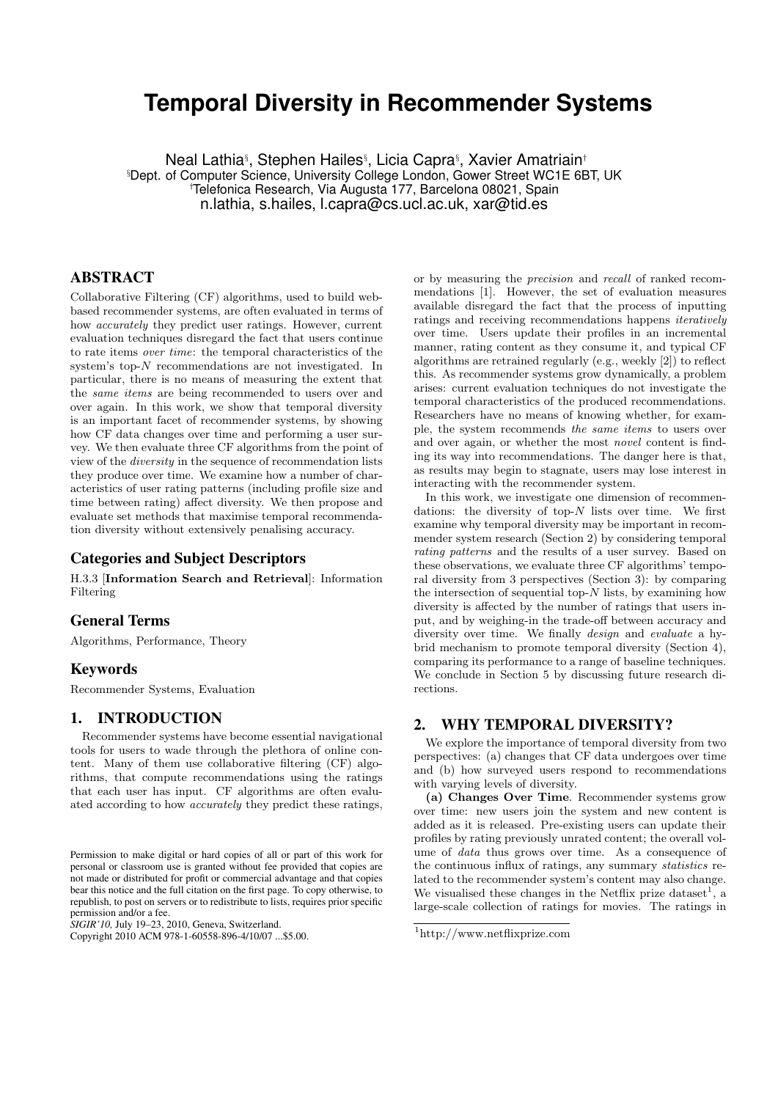# **Temporal Diversity in Recommender Systems**

Neal Lathia§ , Stephen Hailes§ , Licia Capra§ , Xavier Amatriain† §Dept. of Computer Science, University College London, Gower Street WC1E 6BT, UK †Telefonica Research, Via Augusta 177, Barcelona 08021, Spain n.lathia, s.hailes, l.capra@cs.ucl.ac.uk, xar@tid.es

# ABSTRACT

Collaborative Filtering (CF) algorithms, used to build webbased recommender systems, are often evaluated in terms of how accurately they predict user ratings. However, current evaluation techniques disregard the fact that users continue to rate items over time: the temporal characteristics of the system's top-N recommendations are not investigated. In particular, there is no means of measuring the extent that the same items are being recommended to users over and over again. In this work, we show that temporal diversity is an important facet of recommender systems, by showing how CF data changes over time and performing a user survey. We then evaluate three CF algorithms from the point of view of the diversity in the sequence of recommendation lists they produce over time. We examine how a number of characteristics of user rating patterns (including profile size and time between rating) affect diversity. We then propose and evaluate set methods that maximise temporal recommendation diversity without extensively penalising accuracy.

#### Categories and Subject Descriptors

H.3.3 [Information Search and Retrieval]: Information Filtering

# General Terms

Algorithms, Performance, Theory

#### Keywords

Recommender Systems, Evaluation

# 1. INTRODUCTION

Recommender systems have become essential navigational tools for users to wade through the plethora of online content. Many of them use collaborative filtering (CF) algorithms, that compute recommendations using the ratings that each user has input. CF algorithms are often evaluated according to how accurately they predict these ratings,

*SIGIR'10,* July 19–23, 2010, Geneva, Switzerland.

or by measuring the precision and recall of ranked recommendations [1]. However, the set of evaluation measures available disregard the fact that the process of inputting ratings and receiving recommendations happens iteratively over time. Users update their profiles in an incremental manner, rating content as they consume it, and typical CF algorithms are retrained regularly (e.g., weekly [2]) to reflect this. As recommender systems grow dynamically, a problem arises: current evaluation techniques do not investigate the temporal characteristics of the produced recommendations. Researchers have no means of knowing whether, for example, the system recommends the same items to users over and over again, or whether the most novel content is finding its way into recommendations. The danger here is that, as results may begin to stagnate, users may lose interest in interacting with the recommender system.

In this work, we investigate one dimension of recommendations: the diversity of top- $N$  lists over time. We first examine why temporal diversity may be important in recommender system research (Section 2) by considering temporal rating patterns and the results of a user survey. Based on these observations, we evaluate three CF algorithms' temporal diversity from 3 perspectives (Section 3): by comparing the intersection of sequential top- $N$  lists, by examining how diversity is affected by the number of ratings that users input, and by weighing-in the trade-off between accuracy and diversity over time. We finally design and evaluate a hybrid mechanism to promote temporal diversity (Section 4), comparing its performance to a range of baseline techniques. We conclude in Section 5 by discussing future research directions.

### 2. WHY TEMPORAL DIVERSITY?

We explore the importance of temporal diversity from two perspectives: (a) changes that CF data undergoes over time and (b) how surveyed users respond to recommendations with varying levels of diversity.

(a) Changes Over Time. Recommender systems grow over time: new users join the system and new content is added as it is released. Pre-existing users can update their profiles by rating previously unrated content; the overall volume of data thus grows over time. As a consequence of the continuous influx of ratings, any summary statistics related to the recommender system's content may also change. We visualised these changes in the Netflix prize dataset<sup>1</sup>, a large-scale collection of ratings for movies. The ratings in

Permission to make digital or hard copies of all or part of this work for personal or classroom use is granted without fee provided that copies are not made or distributed for profit or commercial advantage and that copies bear this notice and the full citation on the first page. To copy otherwise, to republish, to post on servers or to redistribute to lists, requires prior specific permission and/or a fee.

Copyright 2010 ACM 978-1-60558-896-4/10/07 ...\$5.00.

<sup>1</sup>http://www.netflixprize.com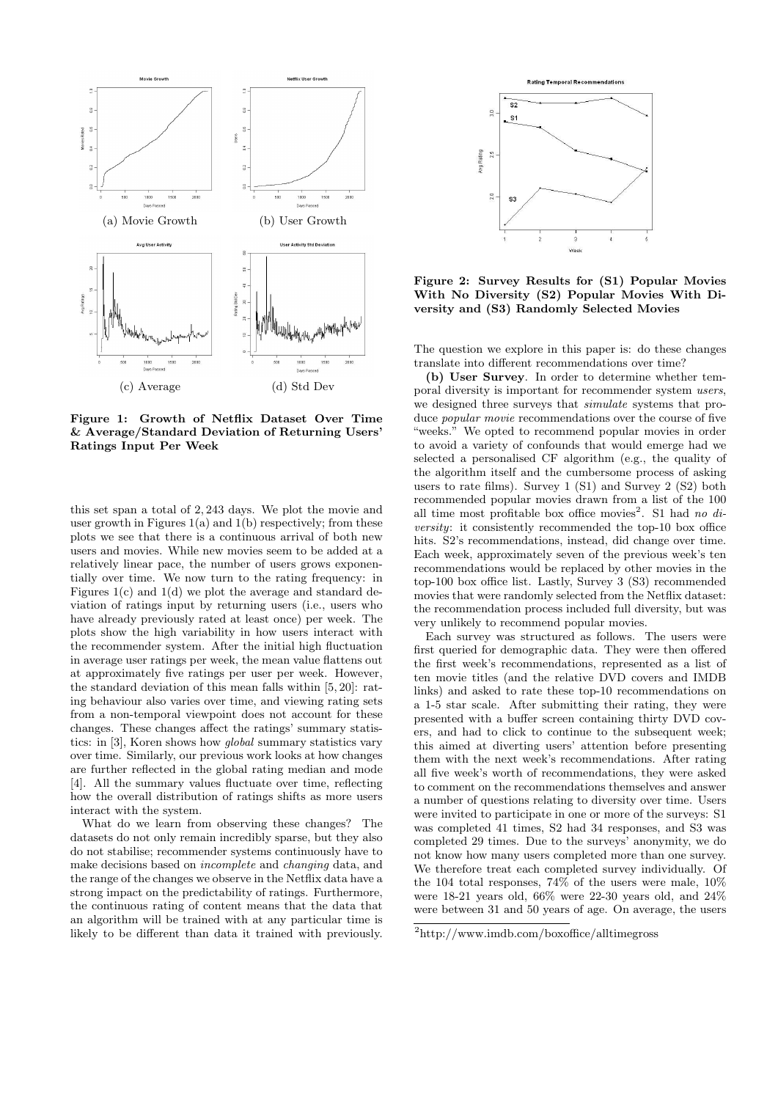

Figure 1: Growth of Netflix Dataset Over Time & Average/Standard Deviation of Returning Users' Ratings Input Per Week

this set span a total of 2, 243 days. We plot the movie and user growth in Figures  $1(a)$  and  $1(b)$  respectively; from these plots we see that there is a continuous arrival of both new users and movies. While new movies seem to be added at a relatively linear pace, the number of users grows exponentially over time. We now turn to the rating frequency: in Figures 1(c) and 1(d) we plot the average and standard deviation of ratings input by returning users (i.e., users who have already previously rated at least once) per week. The plots show the high variability in how users interact with the recommender system. After the initial high fluctuation in average user ratings per week, the mean value flattens out at approximately five ratings per user per week. However, the standard deviation of this mean falls within [5, 20]: rating behaviour also varies over time, and viewing rating sets from a non-temporal viewpoint does not account for these changes. These changes affect the ratings' summary statistics: in [3], Koren shows how global summary statistics vary over time. Similarly, our previous work looks at how changes are further reflected in the global rating median and mode [4]. All the summary values fluctuate over time, reflecting how the overall distribution of ratings shifts as more users interact with the system.

What do we learn from observing these changes? The datasets do not only remain incredibly sparse, but they also do not stabilise; recommender systems continuously have to make decisions based on incomplete and changing data, and the range of the changes we observe in the Netflix data have a strong impact on the predictability of ratings. Furthermore, the continuous rating of content means that the data that an algorithm will be trained with at any particular time is likely to be different than data it trained with previously.



Figure 2: Survey Results for (S1) Popular Movies With No Diversity (S2) Popular Movies With Diversity and (S3) Randomly Selected Movies

The question we explore in this paper is: do these changes translate into different recommendations over time?

(b) User Survey. In order to determine whether temporal diversity is important for recommender system users, we designed three surveys that simulate systems that produce *popular movie* recommendations over the course of five "weeks." We opted to recommend popular movies in order to avoid a variety of confounds that would emerge had we selected a personalised CF algorithm (e.g., the quality of the algorithm itself and the cumbersome process of asking users to rate films). Survey 1 (S1) and Survey 2 (S2) both recommended popular movies drawn from a list of the 100 all time most profitable box office movies<sup>2</sup>. S1 had no diversity: it consistently recommended the top-10 box office hits. S2's recommendations, instead, did change over time. Each week, approximately seven of the previous week's ten recommendations would be replaced by other movies in the top-100 box office list. Lastly, Survey 3 (S3) recommended movies that were randomly selected from the Netflix dataset: the recommendation process included full diversity, but was very unlikely to recommend popular movies.

Each survey was structured as follows. The users were first queried for demographic data. They were then offered the first week's recommendations, represented as a list of ten movie titles (and the relative DVD covers and IMDB links) and asked to rate these top-10 recommendations on a 1-5 star scale. After submitting their rating, they were presented with a buffer screen containing thirty DVD covers, and had to click to continue to the subsequent week; this aimed at diverting users' attention before presenting them with the next week's recommendations. After rating all five week's worth of recommendations, they were asked to comment on the recommendations themselves and answer a number of questions relating to diversity over time. Users were invited to participate in one or more of the surveys: S1 was completed 41 times, S2 had 34 responses, and S3 was completed 29 times. Due to the surveys' anonymity, we do not know how many users completed more than one survey. We therefore treat each completed survey individually. Of the 104 total responses, 74% of the users were male, 10% were 18-21 years old, 66% were 22-30 years old, and 24% were between 31 and 50 years of age. On average, the users

<sup>2</sup>http://www.imdb.com/boxoffice/alltimegross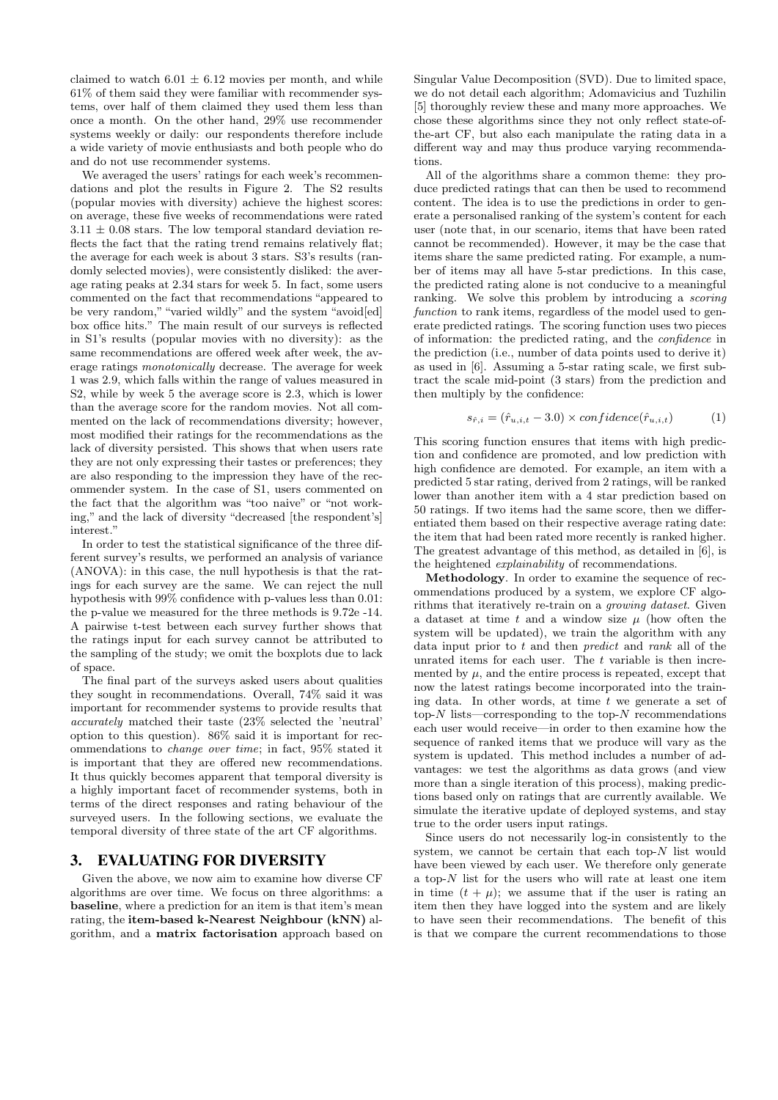claimed to watch  $6.01 \pm 6.12$  movies per month, and while 61% of them said they were familiar with recommender systems, over half of them claimed they used them less than once a month. On the other hand, 29% use recommender systems weekly or daily: our respondents therefore include a wide variety of movie enthusiasts and both people who do and do not use recommender systems.

We averaged the users' ratings for each week's recommendations and plot the results in Figure 2. The S2 results (popular movies with diversity) achieve the highest scores: on average, these five weeks of recommendations were rated  $3.11 \pm 0.08$  stars. The low temporal standard deviation reflects the fact that the rating trend remains relatively flat; the average for each week is about 3 stars. S3's results (randomly selected movies), were consistently disliked: the average rating peaks at 2.34 stars for week 5. In fact, some users commented on the fact that recommendations "appeared to be very random," "varied wildly" and the system "avoided box office hits." The main result of our surveys is reflected in S1's results (popular movies with no diversity): as the same recommendations are offered week after week, the average ratings monotonically decrease. The average for week 1 was 2.9, which falls within the range of values measured in S2, while by week 5 the average score is 2.3, which is lower than the average score for the random movies. Not all commented on the lack of recommendations diversity; however, most modified their ratings for the recommendations as the lack of diversity persisted. This shows that when users rate they are not only expressing their tastes or preferences; they are also responding to the impression they have of the recommender system. In the case of S1, users commented on the fact that the algorithm was "too naive" or "not working," and the lack of diversity "decreased [the respondent's] interest."

In order to test the statistical significance of the three different survey's results, we performed an analysis of variance (ANOVA): in this case, the null hypothesis is that the ratings for each survey are the same. We can reject the null hypothesis with 99% confidence with p-values less than 0.01: the p-value we measured for the three methods is 9.72e -14. A pairwise t-test between each survey further shows that the ratings input for each survey cannot be attributed to the sampling of the study; we omit the boxplots due to lack of space.

The final part of the surveys asked users about qualities they sought in recommendations. Overall, 74% said it was important for recommender systems to provide results that accurately matched their taste (23% selected the 'neutral' option to this question). 86% said it is important for recommendations to change over time; in fact, 95% stated it is important that they are offered new recommendations. It thus quickly becomes apparent that temporal diversity is a highly important facet of recommender systems, both in terms of the direct responses and rating behaviour of the surveyed users. In the following sections, we evaluate the temporal diversity of three state of the art CF algorithms.

# 3. EVALUATING FOR DIVERSITY

Given the above, we now aim to examine how diverse CF algorithms are over time. We focus on three algorithms: a baseline, where a prediction for an item is that item's mean rating, the item-based k-Nearest Neighbour (kNN) algorithm, and a matrix factorisation approach based on

Singular Value Decomposition (SVD). Due to limited space, we do not detail each algorithm; Adomavicius and Tuzhilin [5] thoroughly review these and many more approaches. We chose these algorithms since they not only reflect state-ofthe-art CF, but also each manipulate the rating data in a different way and may thus produce varying recommendations.

All of the algorithms share a common theme: they produce predicted ratings that can then be used to recommend content. The idea is to use the predictions in order to generate a personalised ranking of the system's content for each user (note that, in our scenario, items that have been rated cannot be recommended). However, it may be the case that items share the same predicted rating. For example, a number of items may all have 5-star predictions. In this case, the predicted rating alone is not conducive to a meaningful ranking. We solve this problem by introducing a *scoring* function to rank items, regardless of the model used to generate predicted ratings. The scoring function uses two pieces of information: the predicted rating, and the confidence in the prediction (i.e., number of data points used to derive it) as used in [6]. Assuming a 5-star rating scale, we first subtract the scale mid-point (3 stars) from the prediction and then multiply by the confidence:

$$
s_{\hat{r},i} = (\hat{r}_{u,i,t} - 3.0) \times confidence(\hat{r}_{u,i,t})
$$
 (1)

This scoring function ensures that items with high prediction and confidence are promoted, and low prediction with high confidence are demoted. For example, an item with a predicted 5 star rating, derived from 2 ratings, will be ranked lower than another item with a 4 star prediction based on 50 ratings. If two items had the same score, then we differentiated them based on their respective average rating date: the item that had been rated more recently is ranked higher. The greatest advantage of this method, as detailed in [6], is the heightened explainability of recommendations.

Methodology. In order to examine the sequence of recommendations produced by a system, we explore CF algorithms that iteratively re-train on a growing dataset. Given a dataset at time t and a window size  $\mu$  (how often the system will be updated), we train the algorithm with any data input prior to t and then predict and rank all of the unrated items for each user. The  $t$  variable is then incremented by  $\mu$ , and the entire process is repeated, except that now the latest ratings become incorporated into the training data. In other words, at time  $t$  we generate a set of top- $N$  lists—corresponding to the top- $N$  recommendations each user would receive—in order to then examine how the sequence of ranked items that we produce will vary as the system is updated. This method includes a number of advantages: we test the algorithms as data grows (and view more than a single iteration of this process), making predictions based only on ratings that are currently available. We simulate the iterative update of deployed systems, and stay true to the order users input ratings.

Since users do not necessarily log-in consistently to the system, we cannot be certain that each top- $N$  list would have been viewed by each user. We therefore only generate a top-N list for the users who will rate at least one item in time  $(t + \mu)$ ; we assume that if the user is rating an item then they have logged into the system and are likely to have seen their recommendations. The benefit of this is that we compare the current recommendations to those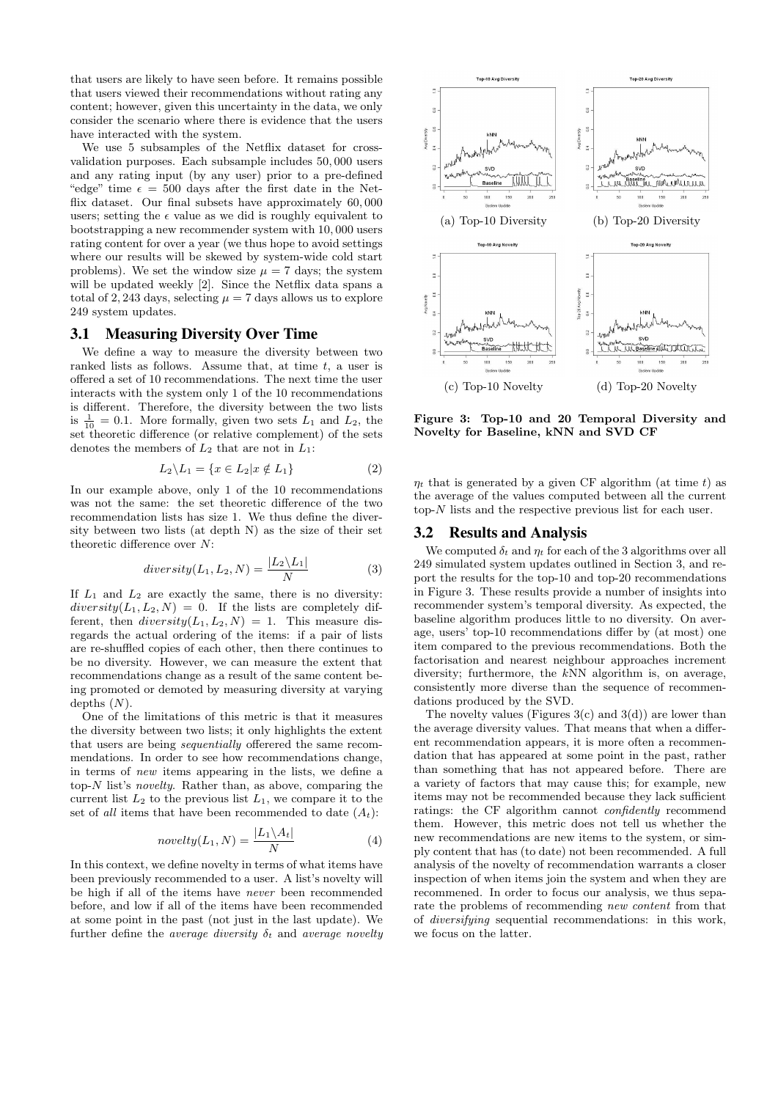that users are likely to have seen before. It remains possible that users viewed their recommendations without rating any content; however, given this uncertainty in the data, we only consider the scenario where there is evidence that the users have interacted with the system.

We use 5 subsamples of the Netflix dataset for crossvalidation purposes. Each subsample includes 50, 000 users and any rating input (by any user) prior to a pre-defined "edge" time  $\epsilon = 500$  days after the first date in the Netflix dataset. Our final subsets have approximately 60, 000 users; setting the  $\epsilon$  value as we did is roughly equivalent to bootstrapping a new recommender system with 10, 000 users rating content for over a year (we thus hope to avoid settings where our results will be skewed by system-wide cold start problems). We set the window size  $\mu = 7$  days; the system will be updated weekly [2]. Since the Netflix data spans a total of 2, 243 days, selecting  $\mu = 7$  days allows us to explore 249 system updates.

#### 3.1 Measuring Diversity Over Time

We define a way to measure the diversity between two ranked lists as follows. Assume that, at time  $t$ , a user is offered a set of 10 recommendations. The next time the user interacts with the system only 1 of the 10 recommendations is different. Therefore, the diversity between the two lists is  $\frac{1}{10} = 0.1$ . More formally, given two sets  $L_1$  and  $L_2$ , the set theoretic difference (or relative complement) of the sets denotes the members of  $L_2$  that are not in  $L_1$ :

$$
L_2 \backslash L_1 = \{ x \in L_2 | x \notin L_1 \}
$$
 (2)

In our example above, only 1 of the 10 recommendations was not the same: the set theoretic difference of the two recommendation lists has size 1. We thus define the diversity between two lists (at depth N) as the size of their set theoretic difference over N:

$$
diversity(L_1, L_2, N) = \frac{|L_2 \backslash L_1|}{N} \tag{3}
$$

If  $L_1$  and  $L_2$  are exactly the same, there is no diversity:  $diversity(L_1, L_2, N) = 0$ . If the lists are completely different, then  $diversity(L_1, L_2, N) = 1$ . This measure disregards the actual ordering of the items: if a pair of lists are re-shuffled copies of each other, then there continues to be no diversity. However, we can measure the extent that recommendations change as a result of the same content being promoted or demoted by measuring diversity at varying depths  $(N)$ .

One of the limitations of this metric is that it measures the diversity between two lists; it only highlights the extent that users are being sequentially offerered the same recommendations. In order to see how recommendations change, in terms of new items appearing in the lists, we define a top- $N$  list's *novelty*. Rather than, as above, comparing the current list  $L_2$  to the previous list  $L_1$ , we compare it to the set of all items that have been recommended to date  $(A_t)$ :

$$
novelty(L_1, N) = \frac{|L_1 \backslash A_t|}{N} \tag{4}
$$

In this context, we define novelty in terms of what items have been previously recommended to a user. A list's novelty will be high if all of the items have never been recommended before, and low if all of the items have been recommended at some point in the past (not just in the last update). We further define the *average diversity*  $\delta_t$  and *average novelty* 



Figure 3: Top-10 and 20 Temporal Diversity and Novelty for Baseline, kNN and SVD CF

 $\eta_t$  that is generated by a given CF algorithm (at time t) as the average of the values computed between all the current top-N lists and the respective previous list for each user.

#### 3.2 Results and Analysis

We computed  $\delta_t$  and  $\eta_t$  for each of the 3 algorithms over all 249 simulated system updates outlined in Section 3, and report the results for the top-10 and top-20 recommendations in Figure 3. These results provide a number of insights into recommender system's temporal diversity. As expected, the baseline algorithm produces little to no diversity. On average, users' top-10 recommendations differ by (at most) one item compared to the previous recommendations. Both the factorisation and nearest neighbour approaches increment diversity; furthermore, the kNN algorithm is, on average, consistently more diverse than the sequence of recommendations produced by the SVD.

The novelty values (Figures  $3(c)$  and  $3(d)$ ) are lower than the average diversity values. That means that when a different recommendation appears, it is more often a recommendation that has appeared at some point in the past, rather than something that has not appeared before. There are a variety of factors that may cause this; for example, new items may not be recommended because they lack sufficient ratings: the CF algorithm cannot confidently recommend them. However, this metric does not tell us whether the new recommendations are new items to the system, or simply content that has (to date) not been recommended. A full analysis of the novelty of recommendation warrants a closer inspection of when items join the system and when they are recommened. In order to focus our analysis, we thus separate the problems of recommending new content from that of diversifying sequential recommendations: in this work, we focus on the latter.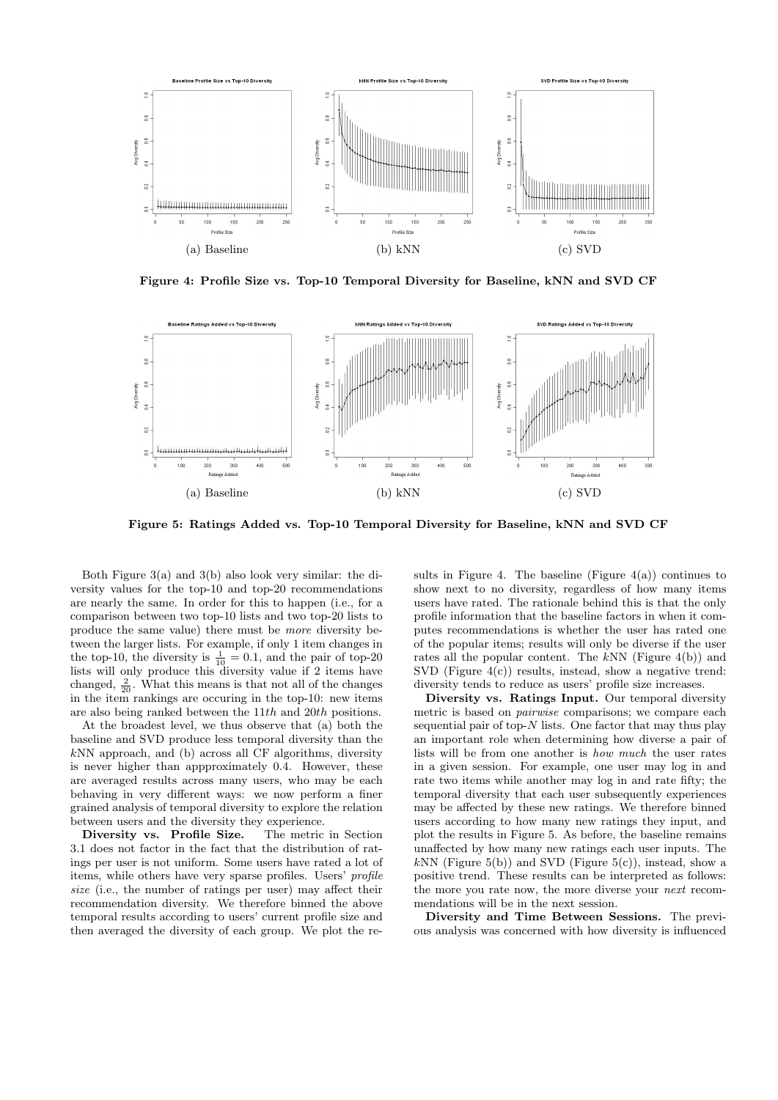

Figure 4: Profile Size vs. Top-10 Temporal Diversity for Baseline, kNN and SVD CF



Figure 5: Ratings Added vs. Top-10 Temporal Diversity for Baseline, kNN and SVD CF

Both Figure 3(a) and 3(b) also look very similar: the diversity values for the top-10 and top-20 recommendations are nearly the same. In order for this to happen (i.e., for a comparison between two top-10 lists and two top-20 lists to produce the same value) there must be more diversity between the larger lists. For example, if only 1 item changes in the top-10, the diversity is  $\frac{1}{10} = 0.1$ , and the pair of top-20 lists will only produce this diversity value if 2 items have changed,  $\frac{2}{20}$ . What this means is that not all of the changes in the item rankings are occuring in the top-10: new items are also being ranked between the 11th and 20th positions.

At the broadest level, we thus observe that (a) both the baseline and SVD produce less temporal diversity than the kNN approach, and (b) across all CF algorithms, diversity is never higher than appproximately 0.4. However, these are averaged results across many users, who may be each behaving in very different ways: we now perform a finer grained analysis of temporal diversity to explore the relation between users and the diversity they experience.

Diversity vs. Profile Size. The metric in Section 3.1 does not factor in the fact that the distribution of ratings per user is not uniform. Some users have rated a lot of items, while others have very sparse profiles. Users' profile size (i.e., the number of ratings per user) may affect their recommendation diversity. We therefore binned the above temporal results according to users' current profile size and then averaged the diversity of each group. We plot the results in Figure 4. The baseline (Figure  $4(a)$ ) continues to show next to no diversity, regardless of how many items users have rated. The rationale behind this is that the only profile information that the baseline factors in when it computes recommendations is whether the user has rated one of the popular items; results will only be diverse if the user rates all the popular content. The  $kNN$  (Figure 4(b)) and SVD (Figure  $4(c)$ ) results, instead, show a negative trend: diversity tends to reduce as users' profile size increases.

Diversity vs. Ratings Input. Our temporal diversity metric is based on pairwise comparisons; we compare each sequential pair of top- $N$  lists. One factor that may thus play an important role when determining how diverse a pair of lists will be from one another is how much the user rates in a given session. For example, one user may log in and rate two items while another may log in and rate fifty; the temporal diversity that each user subsequently experiences may be affected by these new ratings. We therefore binned users according to how many new ratings they input, and plot the results in Figure 5. As before, the baseline remains unaffected by how many new ratings each user inputs. The  $kNN$  (Figure 5(b)) and SVD (Figure 5(c)), instead, show a positive trend. These results can be interpreted as follows: the more you rate now, the more diverse your next recommendations will be in the next session.

Diversity and Time Between Sessions. The previous analysis was concerned with how diversity is influenced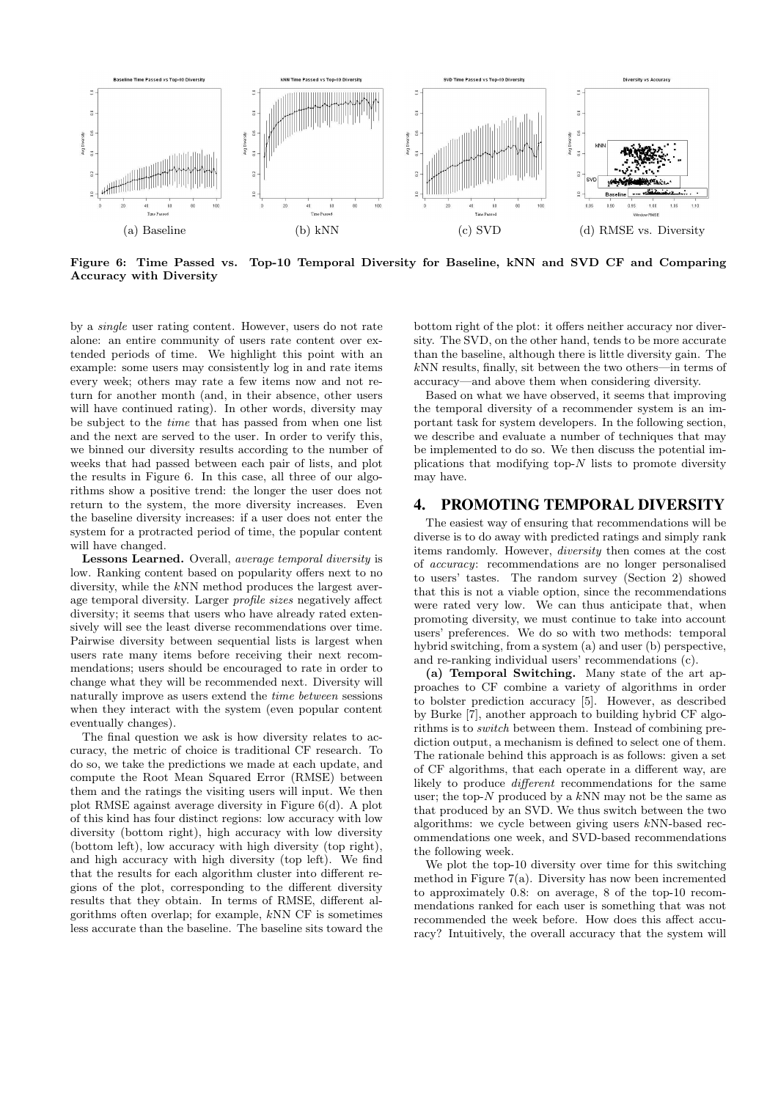

Figure 6: Time Passed vs. Top-10 Temporal Diversity for Baseline, kNN and SVD CF and Comparing Accuracy with Diversity

by a single user rating content. However, users do not rate alone: an entire community of users rate content over extended periods of time. We highlight this point with an example: some users may consistently log in and rate items every week; others may rate a few items now and not return for another month (and, in their absence, other users will have continued rating). In other words, diversity may be subject to the time that has passed from when one list and the next are served to the user. In order to verify this, we binned our diversity results according to the number of weeks that had passed between each pair of lists, and plot the results in Figure 6. In this case, all three of our algorithms show a positive trend: the longer the user does not return to the system, the more diversity increases. Even the baseline diversity increases: if a user does not enter the system for a protracted period of time, the popular content will have changed.

Lessons Learned. Overall, average temporal diversity is low. Ranking content based on popularity offers next to no diversity, while the kNN method produces the largest average temporal diversity. Larger profile sizes negatively affect diversity; it seems that users who have already rated extensively will see the least diverse recommendations over time. Pairwise diversity between sequential lists is largest when users rate many items before receiving their next recommendations; users should be encouraged to rate in order to change what they will be recommended next. Diversity will naturally improve as users extend the time between sessions when they interact with the system (even popular content eventually changes).

The final question we ask is how diversity relates to accuracy, the metric of choice is traditional CF research. To do so, we take the predictions we made at each update, and compute the Root Mean Squared Error (RMSE) between them and the ratings the visiting users will input. We then plot RMSE against average diversity in Figure 6(d). A plot of this kind has four distinct regions: low accuracy with low diversity (bottom right), high accuracy with low diversity (bottom left), low accuracy with high diversity (top right), and high accuracy with high diversity (top left). We find that the results for each algorithm cluster into different regions of the plot, corresponding to the different diversity results that they obtain. In terms of RMSE, different algorithms often overlap; for example, kNN CF is sometimes less accurate than the baseline. The baseline sits toward the bottom right of the plot: it offers neither accuracy nor diversity. The SVD, on the other hand, tends to be more accurate than the baseline, although there is little diversity gain. The kNN results, finally, sit between the two others—in terms of accuracy—and above them when considering diversity.

Based on what we have observed, it seems that improving the temporal diversity of a recommender system is an important task for system developers. In the following section, we describe and evaluate a number of techniques that may be implemented to do so. We then discuss the potential implications that modifying top- $N$  lists to promote diversity may have.

# 4. PROMOTING TEMPORAL DIVERSITY

The easiest way of ensuring that recommendations will be diverse is to do away with predicted ratings and simply rank items randomly. However, diversity then comes at the cost of accuracy: recommendations are no longer personalised to users' tastes. The random survey (Section 2) showed that this is not a viable option, since the recommendations were rated very low. We can thus anticipate that, when promoting diversity, we must continue to take into account users' preferences. We do so with two methods: temporal hybrid switching, from a system (a) and user (b) perspective, and re-ranking individual users' recommendations (c).

(a) Temporal Switching. Many state of the art approaches to CF combine a variety of algorithms in order to bolster prediction accuracy [5]. However, as described by Burke [7], another approach to building hybrid CF algorithms is to switch between them. Instead of combining prediction output, a mechanism is defined to select one of them. The rationale behind this approach is as follows: given a set of CF algorithms, that each operate in a different way, are likely to produce different recommendations for the same user; the top- $N$  produced by a  $kNN$  may not be the same as that produced by an SVD. We thus switch between the two algorithms: we cycle between giving users kNN-based recommendations one week, and SVD-based recommendations the following week.

We plot the top-10 diversity over time for this switching method in Figure 7(a). Diversity has now been incremented to approximately 0.8: on average, 8 of the top-10 recommendations ranked for each user is something that was not recommended the week before. How does this affect accuracy? Intuitively, the overall accuracy that the system will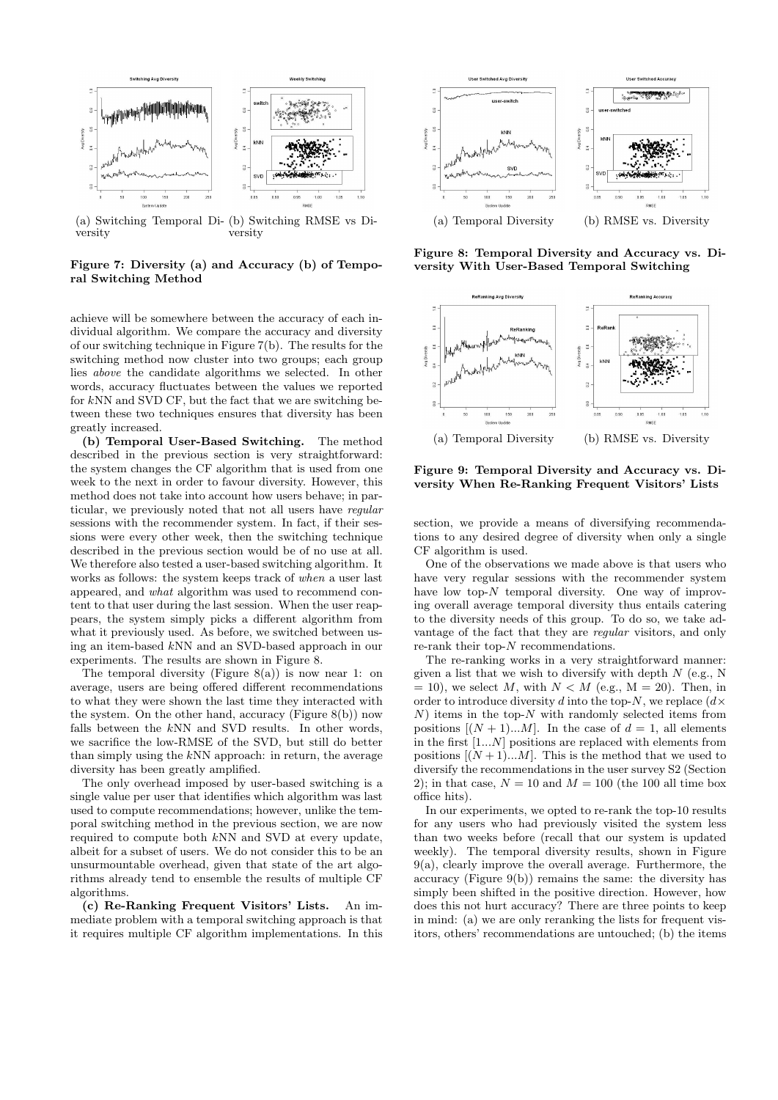

(a) Switching Temporal Di-(b) Switching RMSE vs Diversity versity

#### Figure 7: Diversity (a) and Accuracy (b) of Temporal Switching Method

achieve will be somewhere between the accuracy of each individual algorithm. We compare the accuracy and diversity of our switching technique in Figure 7(b). The results for the switching method now cluster into two groups; each group lies above the candidate algorithms we selected. In other words, accuracy fluctuates between the values we reported for  $kNN$  and SVD CF, but the fact that we are switching between these two techniques ensures that diversity has been greatly increased.

(b) Temporal User-Based Switching. The method described in the previous section is very straightforward: the system changes the CF algorithm that is used from one week to the next in order to favour diversity. However, this method does not take into account how users behave; in particular, we previously noted that not all users have regular sessions with the recommender system. In fact, if their sessions were every other week, then the switching technique described in the previous section would be of no use at all. We therefore also tested a user-based switching algorithm. It works as follows: the system keeps track of when a user last appeared, and what algorithm was used to recommend content to that user during the last session. When the user reappears, the system simply picks a different algorithm from what it previously used. As before, we switched between using an item-based kNN and an SVD-based approach in our experiments. The results are shown in Figure 8.

The temporal diversity (Figure  $8(a)$ ) is now near 1: on average, users are being offered different recommendations to what they were shown the last time they interacted with the system. On the other hand, accuracy (Figure 8(b)) now falls between the kNN and SVD results. In other words, we sacrifice the low-RMSE of the SVD, but still do better than simply using the  $kNN$  approach: in return, the average diversity has been greatly amplified.

The only overhead imposed by user-based switching is a single value per user that identifies which algorithm was last used to compute recommendations; however, unlike the temporal switching method in the previous section, we are now required to compute both kNN and SVD at every update, albeit for a subset of users. We do not consider this to be an unsurmountable overhead, given that state of the art algorithms already tend to ensemble the results of multiple CF algorithms.

(c) Re-Ranking Frequent Visitors' Lists. An immediate problem with a temporal switching approach is that it requires multiple CF algorithm implementations. In this



Figure 8: Temporal Diversity and Accuracy vs. Diversity With User-Based Temporal Switching



Figure 9: Temporal Diversity and Accuracy vs. Diversity When Re-Ranking Frequent Visitors' Lists

section, we provide a means of diversifying recommendations to any desired degree of diversity when only a single CF algorithm is used.

One of the observations we made above is that users who have very regular sessions with the recommender system have low top- $N$  temporal diversity. One way of improving overall average temporal diversity thus entails catering to the diversity needs of this group. To do so, we take advantage of the fact that they are regular visitors, and only re-rank their top- $N$  recommendations.

The re-ranking works in a very straightforward manner: given a list that we wish to diversify with depth  $N$  (e.g., N  $= 10$ , we select M, with  $N < M$  (e.g., M = 20). Then, in order to introduce diversity  $d$  into the top- $N$ , we replace  $(d \times$  $N$ ) items in the top- $N$  with randomly selected items from positions  $[(N + 1)...M]$ . In the case of  $d = 1$ , all elements in the first [1...N] positions are replaced with elements from positions  $[(N+1)...M]$ . This is the method that we used to diversify the recommendations in the user survey S2 (Section 2); in that case,  $N = 10$  and  $M = 100$  (the 100 all time box office hits).

In our experiments, we opted to re-rank the top-10 results for any users who had previously visited the system less than two weeks before (recall that our system is updated weekly). The temporal diversity results, shown in Figure 9(a), clearly improve the overall average. Furthermore, the accuracy (Figure 9(b)) remains the same: the diversity has simply been shifted in the positive direction. However, how does this not hurt accuracy? There are three points to keep in mind: (a) we are only reranking the lists for frequent visitors, others' recommendations are untouched; (b) the items